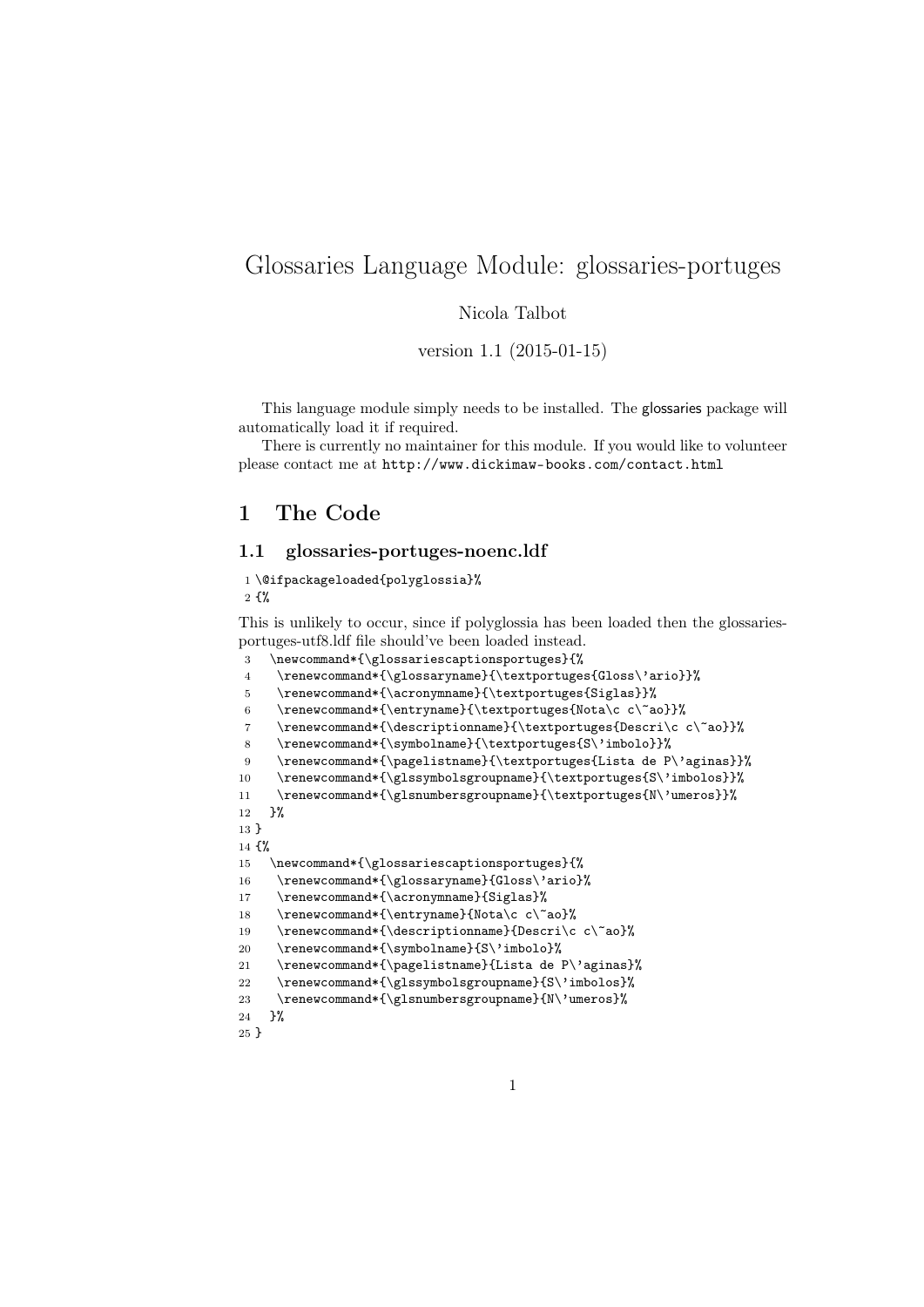# Glossaries Language Module: glossaries-portuges

### Nicola Talbot

version 1.1 (2015-01-15)

This language module simply needs to be installed. The glossaries package will automatically load it if required.

There is currently no maintainer for this module. If you would like to volunteer please contact me at http://www.dickimaw-books.com/contact.html

# 1 The Code

# 1.1 glossaries-portuges-noenc.ldf

```
1 \@ifpackageloaded{polyglossia}%
```
2 {%

This is unlikely to occur, since if polyglossia has been loaded then the glossariesportuges-utf8.ldf file should've been loaded instead.

```
3 \newcommand*{\glossariescaptionsportuges}{%
```

```
4 \renewcommand*{\glossaryname}{\textportuges{Gloss\'ario}}%
```
5 \renewcommand\*{\acronymname}{\textportuges{Siglas}}%

```
6 \renewcommand*{\entryname}{\textportuges{Nota\c c\~ao}}%
```

```
7 \renewcommand*{\descriptionname}{\textportuges{Descri\c c\~ao}}%
```

```
8 \renewcommand*{\symbolname}{\textportuges{S\'imbolo}}%
```

```
9 \renewcommand*{\pagelistname}{\textportuges{Lista de P\'aginas}}%
```

```
10 \renewcommand*{\glssymbolsgroupname}{\textportuges{S\'imbolos}}%
```

```
11 \renewcommand*{\glsnumbersgroupname}{\textportuges{N\'umeros}}%
```

```
12 \frac{\cancel{12}}{3}
```
13 }

14 {%

```
15 \newcommand*{\glossariescaptionsportuges}{%
```

```
16 \renewcommand*{\glossaryname}{Gloss\'ario}%
```

```
17 \renewcommand*{\acronymname}{Siglas}%
```

```
18 \renewcommand*{\entryname}{Nota\c c\~ao}%
```

```
19 \renewcommand*{\descriptionname}{Descri\c c\~ao}%
```

```
20 \renewcommand*{\symbolname}{S\'imbolo}%
```

```
21 \renewcommand*{\pagelistname}{Lista de P\'aginas}%
```

```
22 \renewcommand*{\glssymbolsgroupname}{S\'imbolos}%
```

```
23 \renewcommand*{\glsnumbersgroupname}{N\'umeros}%
```

```
24 }%
```
25 }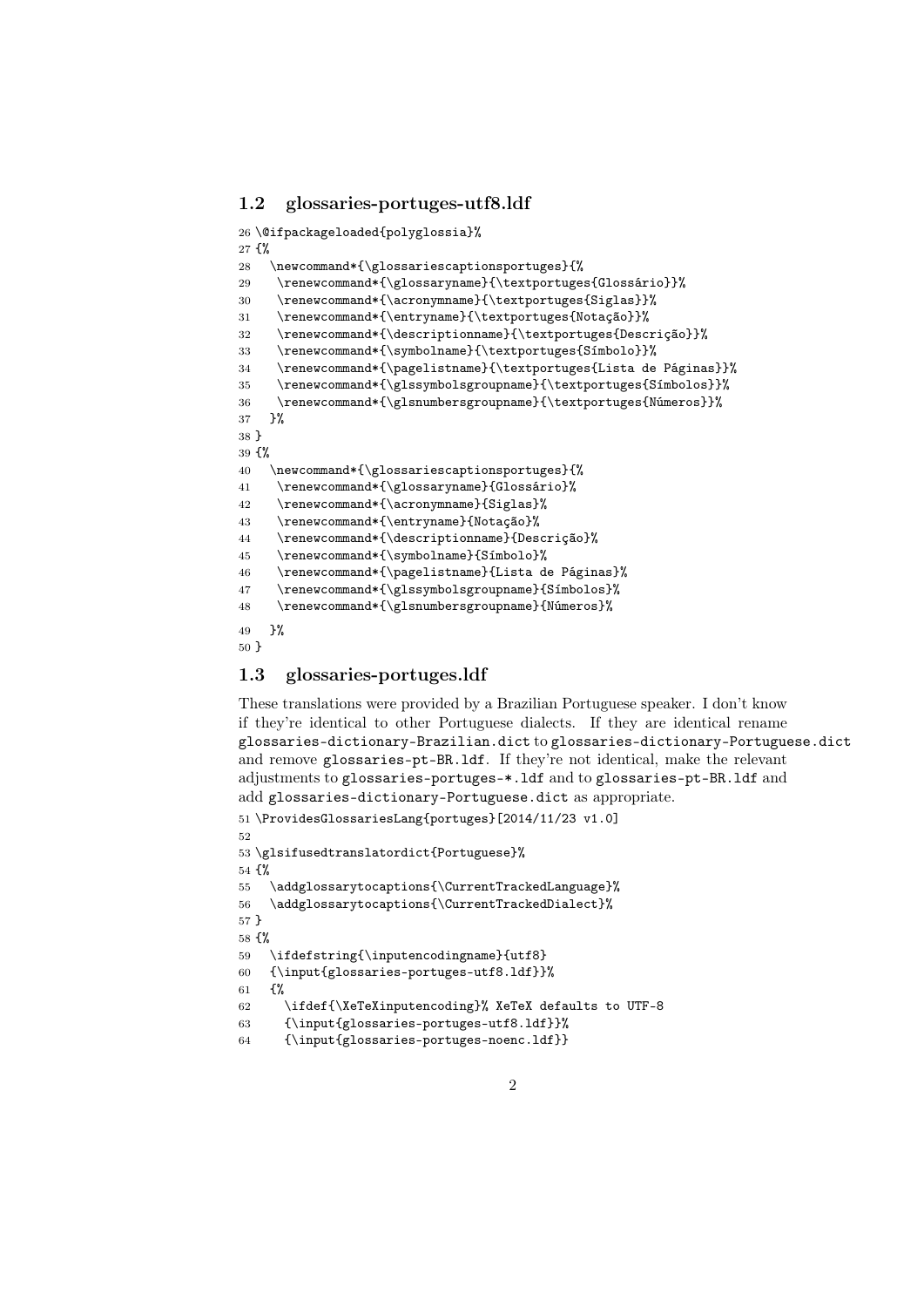#### 1.2 glossaries-portuges-utf8.ldf

```
26 \@ifpackageloaded{polyglossia}%
27 {%
28 \newcommand*{\glossariescaptionsportuges}{%
29 \renewcommand*{\glossaryname}{\textportuges{Glossário}}%
30 \renewcommand*{\acronymname}{\textportuges{Siglas}}%
31 \renewcommand*{\entryname}{\textportuges{Notação}}%
32 \renewcommand*{\descriptionname}{\textportuges{Descrição}}%
33 \renewcommand*{\symbolname}{\textportuges{Símbolo}}%
34 \renewcommand*{\pagelistname}{\textportuges{Lista de Páginas}}%
35 \renewcommand*{\glssymbolsgroupname}{\textportuges{Símbolos}}%
36 \renewcommand*{\glsnumbersgroupname}{\textportuges{Números}}%
37 }%
38 }
39 {%
40 \newcommand*{\glossariescaptionsportuges}{%
41 \renewcommand*{\glossaryname}{Glossário}%
42 \renewcommand*{\acronymname}{Siglas}%
43 \renewcommand*{\entryname}{Notação}%
44 \renewcommand*{\descriptionname}{Descrição}%
45 \renewcommand*{\symbolname}{Símbolo}%
46 \renewcommand*{\pagelistname}{Lista de Páginas}%
47 \renewcommand*{\glssymbolsgroupname}{Símbolos}%
48 \renewcommand*{\glsnumbersgroupname}{Números}%
49 - 3%50 }
```
# 1.3 glossaries-portuges.ldf

These translations were provided by a Brazilian Portuguese speaker. I don't know if they're identical to other Portuguese dialects. If they are identical rename glossaries-dictionary-Brazilian.dict to glossaries-dictionary-Portuguese.dict and remove glossaries-pt-BR.ldf. If they're not identical, make the relevant adjustments to glossaries-portuges-\*.ldf and to glossaries-pt-BR.ldf and add glossaries-dictionary-Portuguese.dict as appropriate.

```
51 \ProvidesGlossariesLang{portuges}[2014/11/23 v1.0]
52
53 \glsifusedtranslatordict{Portuguese}%
54 {%
55 \addglossarytocaptions{\CurrentTrackedLanguage}%
56 \addglossarytocaptions{\CurrentTrackedDialect}%
57 }
58 {%
59 \ifdefstring{\inputencodingname}{utf8}
60 {\input{glossaries-portuges-utf8.ldf}}%
61 \frac{1}{2}62 \ifdef{\XeTeXinputencoding}% XeTeX defaults to UTF-8
63 {\input{glossaries-portuges-utf8.ldf}}%
64 {\input{glossaries-portuges-noenc.ldf}}
```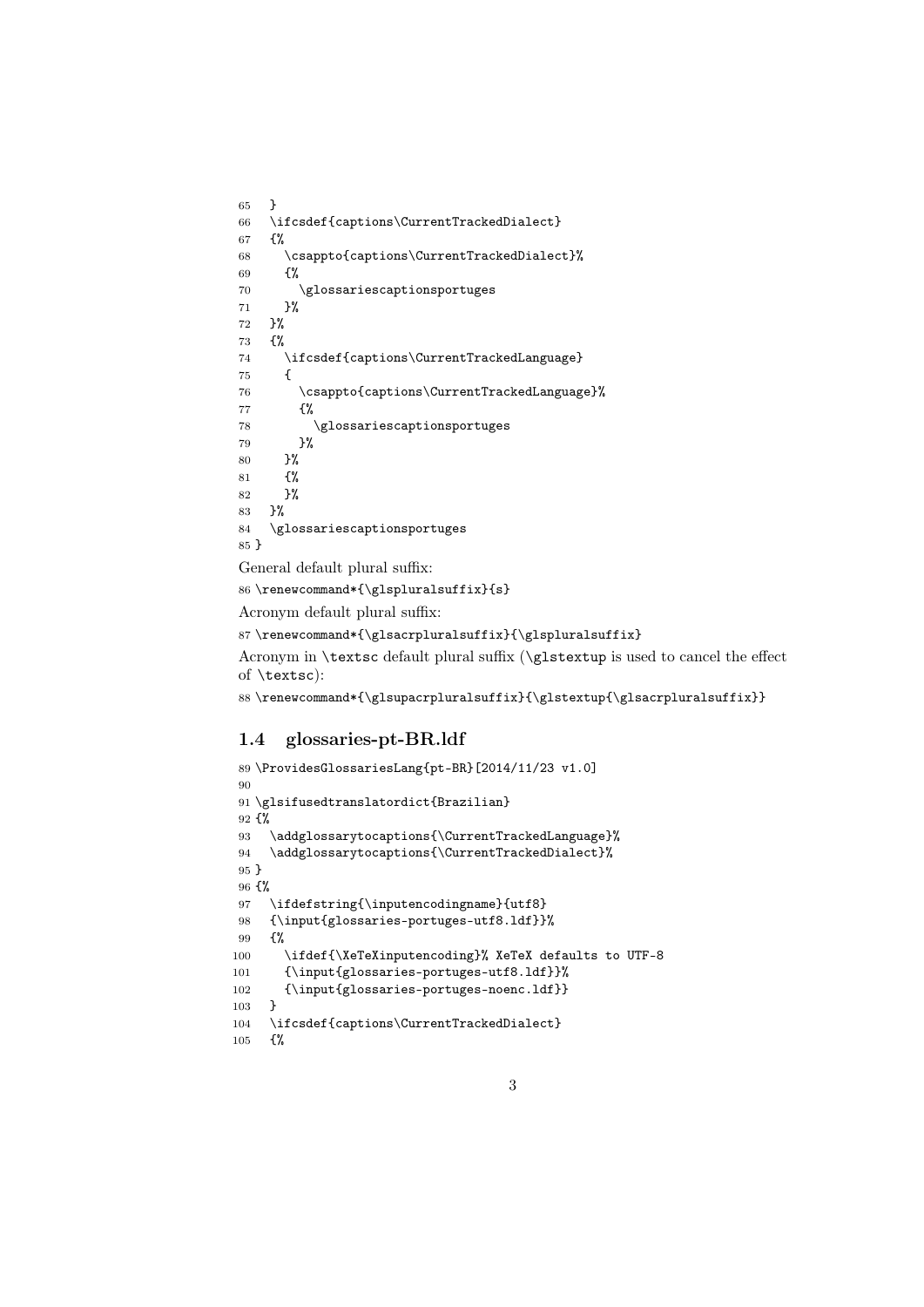```
65 }
66 \ifcsdef{captions\CurrentTrackedDialect}
67 {%
68 \csappto{captions\CurrentTrackedDialect}%
69 {%
70 \glossariescaptionsportuges
71 }%
72 }%
73 {%
74 \ifcsdef{captions\CurrentTrackedLanguage}
75 {
76 \csappto{captions\CurrentTrackedLanguage}%
77 {%
78 \glossariescaptionsportuges
79 }%
80 }%
81 {%
82 }%
83 }%
84 \glossariescaptionsportuges
85 }
General default plural suffix:
86 \renewcommand*{\glspluralsuffix}{s}
```
Acronym default plural suffix:

```
87 \renewcommand*{\glsacrpluralsuffix}{\glspluralsuffix}
```
Acronym in \textsc default plural suffix (\glstextup is used to cancel the effect of \textsc):

\renewcommand\*{\glsupacrpluralsuffix}{\glstextup{\glsacrpluralsuffix}}

# 1.4 glossaries-pt-BR.ldf

```
89 \ProvidesGlossariesLang{pt-BR}[2014/11/23 v1.0]
90
91 \glsifusedtranslatordict{Brazilian}
92 {%
93 \addglossarytocaptions{\CurrentTrackedLanguage}%
94 \addglossarytocaptions{\CurrentTrackedDialect}%
95 }
96 {%
97 \ifdefstring{\inputencodingname}{utf8}
98 {\input{glossaries-portuges-utf8.ldf}}%
99 {%
100 \ifdef{\XeTeXinputencoding}% XeTeX defaults to UTF-8
101 {\input{glossaries-portuges-utf8.ldf}}%
102 {\input{glossaries-portuges-noenc.ldf}}
103 }
104 \ifcsdef{captions\CurrentTrackedDialect}
105 {%
```